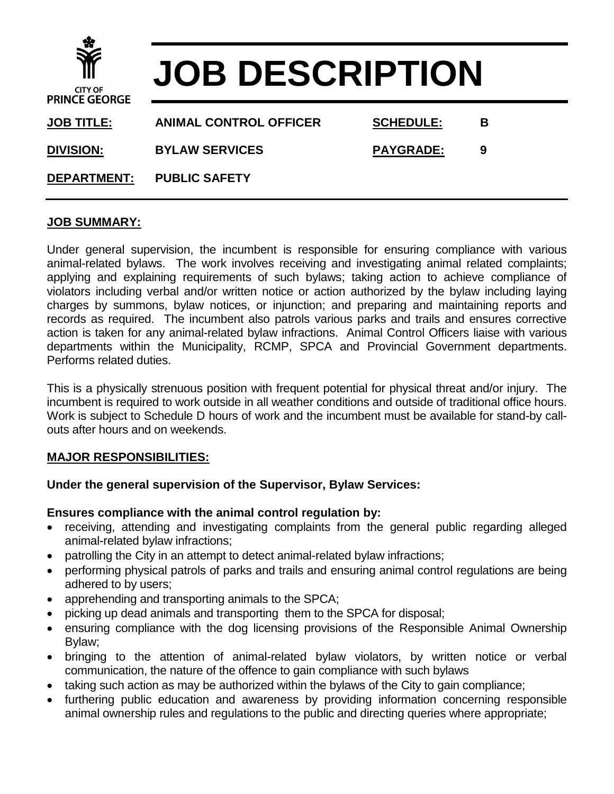| $\mathbf{\hat{w}}$<br><b>CITY OF</b><br><b>PRINCE GEORGE</b> | <b>JOB DESCRIPTION</b>        |                  |   |
|--------------------------------------------------------------|-------------------------------|------------------|---|
| <b>JOB TITLE:</b>                                            | <b>ANIMAL CONTROL OFFICER</b> | <b>SCHEDULE:</b> | в |
| <b>DIVISION:</b>                                             | <b>BYLAW SERVICES</b>         | <b>PAYGRADE:</b> | 9 |
| <b>DEPARTMENT:</b>                                           | <b>PUBLIC SAFETY</b>          |                  |   |

# **JOB SUMMARY:**

Under general supervision, the incumbent is responsible for ensuring compliance with various animal-related bylaws. The work involves receiving and investigating animal related complaints; applying and explaining requirements of such bylaws; taking action to achieve compliance of violators including verbal and/or written notice or action authorized by the bylaw including laying charges by summons, bylaw notices, or injunction; and preparing and maintaining reports and records as required. The incumbent also patrols various parks and trails and ensures corrective action is taken for any animal-related bylaw infractions. Animal Control Officers liaise with various departments within the Municipality, RCMP, SPCA and Provincial Government departments. Performs related duties.

This is a physically strenuous position with frequent potential for physical threat and/or injury. The incumbent is required to work outside in all weather conditions and outside of traditional office hours. Work is subject to Schedule D hours of work and the incumbent must be available for stand-by callouts after hours and on weekends.

## **MAJOR RESPONSIBILITIES:**

## **Under the general supervision of the Supervisor, Bylaw Services:**

## **Ensures compliance with the animal control regulation by:**

- receiving, attending and investigating complaints from the general public regarding alleged animal-related bylaw infractions;
- patrolling the City in an attempt to detect animal-related bylaw infractions;
- performing physical patrols of parks and trails and ensuring animal control regulations are being adhered to by users;
- apprehending and transporting animals to the SPCA;
- picking up dead animals and transporting them to the SPCA for disposal;
- ensuring compliance with the dog licensing provisions of the Responsible Animal Ownership Bylaw;
- bringing to the attention of animal-related bylaw violators, by written notice or verbal communication, the nature of the offence to gain compliance with such bylaws
- taking such action as may be authorized within the bylaws of the City to gain compliance;
- furthering public education and awareness by providing information concerning responsible animal ownership rules and regulations to the public and directing queries where appropriate;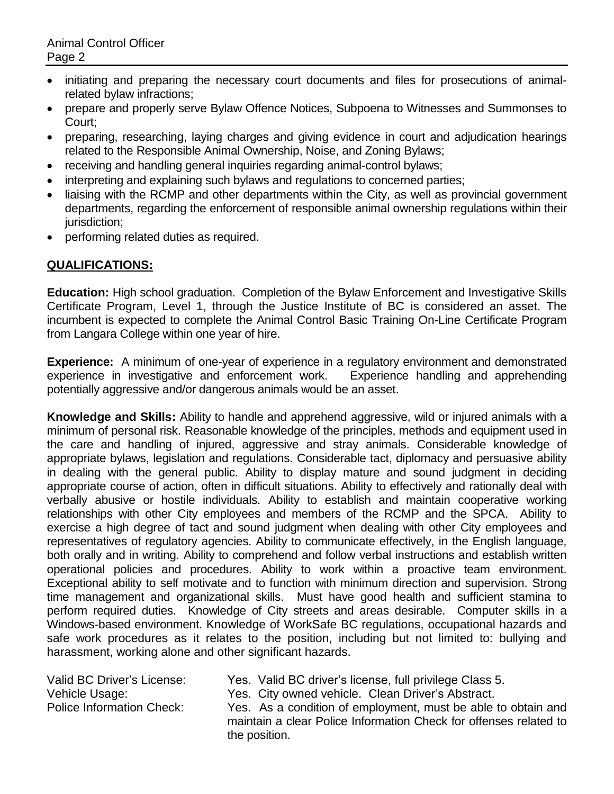- initiating and preparing the necessary court documents and files for prosecutions of animalrelated bylaw infractions;
- prepare and properly serve Bylaw Offence Notices, Subpoena to Witnesses and Summonses to Court;
- preparing, researching, laying charges and giving evidence in court and adjudication hearings related to the Responsible Animal Ownership, Noise, and Zoning Bylaws;
- receiving and handling general inquiries regarding animal-control bylaws;
- interpreting and explaining such bylaws and regulations to concerned parties;
- liaising with the RCMP and other departments within the City, as well as provincial government departments, regarding the enforcement of responsible animal ownership regulations within their jurisdiction:
- performing related duties as required.

# **QUALIFICATIONS:**

**Education:** High school graduation. Completion of the Bylaw Enforcement and Investigative Skills Certificate Program, Level 1, through the Justice Institute of BC is considered an asset. The incumbent is expected to complete the Animal Control Basic Training On-Line Certificate Program from Langara College within one year of hire.

**Experience:** A minimum of one-year of experience in a regulatory environment and demonstrated experience in investigative and enforcement work. Experience handling and apprehending potentially aggressive and/or dangerous animals would be an asset.

**Knowledge and Skills:** Ability to handle and apprehend aggressive, wild or injured animals with a minimum of personal risk. Reasonable knowledge of the principles, methods and equipment used in the care and handling of injured, aggressive and stray animals. Considerable knowledge of appropriate bylaws, legislation and regulations. Considerable tact, diplomacy and persuasive ability in dealing with the general public. Ability to display mature and sound judgment in deciding appropriate course of action, often in difficult situations. Ability to effectively and rationally deal with verbally abusive or hostile individuals. Ability to establish and maintain cooperative working relationships with other City employees and members of the RCMP and the SPCA. Ability to exercise a high degree of tact and sound judgment when dealing with other City employees and representatives of regulatory agencies. Ability to communicate effectively, in the English language, both orally and in writing. Ability to comprehend and follow verbal instructions and establish written operational policies and procedures. Ability to work within a proactive team environment. Exceptional ability to self motivate and to function with minimum direction and supervision. Strong time management and organizational skills. Must have good health and sufficient stamina to perform required duties. Knowledge of City streets and areas desirable. Computer skills in a Windows-based environment. Knowledge of WorkSafe BC regulations, occupational hazards and safe work procedures as it relates to the position, including but not limited to: bullying and harassment, working alone and other significant hazards.

Valid BC Driver's License: Yes. Valid BC driver's license, full privilege Class 5. Vehicle Usage: Yes. City owned vehicle. Clean Driver's Abstract. Police Information Check: Yes. As a condition of employment, must be able to obtain and maintain a clear Police Information Check for offenses related to the position.